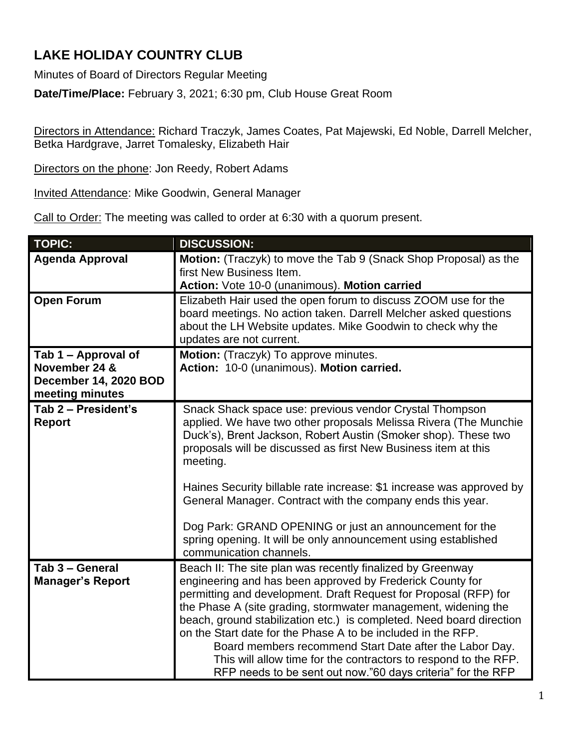## **LAKE HOLIDAY COUNTRY CLUB**

Minutes of Board of Directors Regular Meeting

**Date/Time/Place:** February 3, 2021; 6:30 pm, Club House Great Room

Directors in Attendance: Richard Traczyk, James Coates, Pat Majewski, Ed Noble, Darrell Melcher, Betka Hardgrave, Jarret Tomalesky, Elizabeth Hair

Directors on the phone: Jon Reedy, Robert Adams

Invited Attendance: Mike Goodwin, General Manager

Call to Order: The meeting was called to order at 6:30 with a quorum present.

| <b>TOPIC:</b>                                                                    | <b>DISCUSSION:</b>                                                                                                                                                                                                                                                                                                                                                                                                                                                                                                                                                                                 |
|----------------------------------------------------------------------------------|----------------------------------------------------------------------------------------------------------------------------------------------------------------------------------------------------------------------------------------------------------------------------------------------------------------------------------------------------------------------------------------------------------------------------------------------------------------------------------------------------------------------------------------------------------------------------------------------------|
| <b>Agenda Approval</b>                                                           | Motion: (Traczyk) to move the Tab 9 (Snack Shop Proposal) as the<br>first New Business Item.<br>Action: Vote 10-0 (unanimous). Motion carried                                                                                                                                                                                                                                                                                                                                                                                                                                                      |
| <b>Open Forum</b>                                                                | Elizabeth Hair used the open forum to discuss ZOOM use for the<br>board meetings. No action taken. Darrell Melcher asked questions<br>about the LH Website updates. Mike Goodwin to check why the<br>updates are not current.                                                                                                                                                                                                                                                                                                                                                                      |
| Tab 1 – Approval of<br>November 24 &<br>December 14, 2020 BOD<br>meeting minutes | Motion: (Traczyk) To approve minutes.<br>Action: 10-0 (unanimous). Motion carried.                                                                                                                                                                                                                                                                                                                                                                                                                                                                                                                 |
| Tab 2 - President's<br><b>Report</b>                                             | Snack Shack space use: previous vendor Crystal Thompson<br>applied. We have two other proposals Melissa Rivera (The Munchie<br>Duck's), Brent Jackson, Robert Austin (Smoker shop). These two<br>proposals will be discussed as first New Business item at this<br>meeting.<br>Haines Security billable rate increase: \$1 increase was approved by<br>General Manager. Contract with the company ends this year.<br>Dog Park: GRAND OPENING or just an announcement for the<br>spring opening. It will be only announcement using established<br>communication channels.                          |
| Tab 3 - General<br><b>Manager's Report</b>                                       | Beach II: The site plan was recently finalized by Greenway<br>engineering and has been approved by Frederick County for<br>permitting and development. Draft Request for Proposal (RFP) for<br>the Phase A (site grading, stormwater management, widening the<br>beach, ground stabilization etc.) is completed. Need board direction<br>on the Start date for the Phase A to be included in the RFP.<br>Board members recommend Start Date after the Labor Day.<br>This will allow time for the contractors to respond to the RFP.<br>RFP needs to be sent out now."60 days criteria" for the RFP |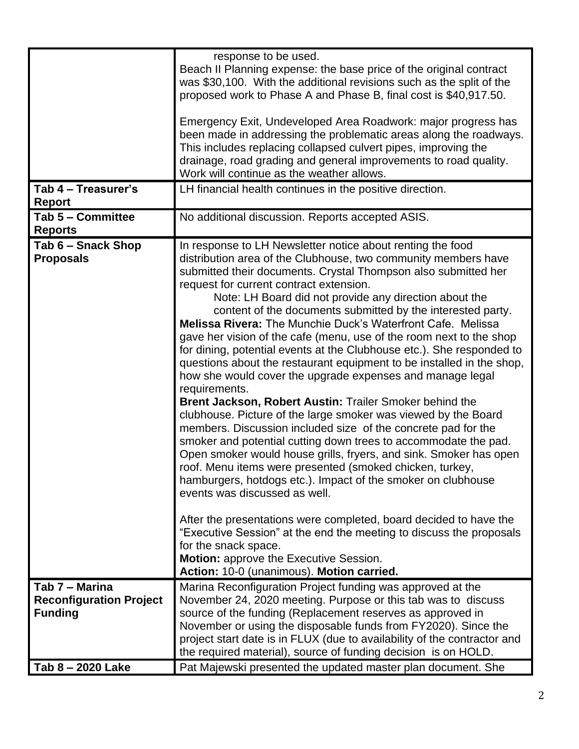|                                | response to be used.                                                     |
|--------------------------------|--------------------------------------------------------------------------|
|                                | Beach II Planning expense: the base price of the original contract       |
|                                |                                                                          |
|                                | was \$30,100. With the additional revisions such as the split of the     |
|                                | proposed work to Phase A and Phase B, final cost is \$40,917.50.         |
|                                | Emergency Exit, Undeveloped Area Roadwork: major progress has            |
|                                | been made in addressing the problematic areas along the roadways.        |
|                                | This includes replacing collapsed culvert pipes, improving the           |
|                                | drainage, road grading and general improvements to road quality.         |
|                                | Work will continue as the weather allows.                                |
| Tab 4 - Treasurer's            | LH financial health continues in the positive direction.                 |
| <b>Report</b>                  |                                                                          |
| Tab 5 - Committee              | No additional discussion. Reports accepted ASIS.                         |
| <b>Reports</b>                 |                                                                          |
| Tab 6 - Snack Shop             | In response to LH Newsletter notice about renting the food               |
| <b>Proposals</b>               | distribution area of the Clubhouse, two community members have           |
|                                | submitted their documents. Crystal Thompson also submitted her           |
|                                | request for current contract extension.                                  |
|                                | Note: LH Board did not provide any direction about the                   |
|                                | content of the documents submitted by the interested party.              |
|                                | <b>Melissa Rivera: The Munchie Duck's Waterfront Cafe. Melissa</b>       |
|                                | gave her vision of the cafe (menu, use of the room next to the shop      |
|                                | for dining, potential events at the Clubhouse etc.). She responded to    |
|                                |                                                                          |
|                                | questions about the restaurant equipment to be installed in the shop,    |
|                                | how she would cover the upgrade expenses and manage legal                |
|                                | requirements.                                                            |
|                                | Brent Jackson, Robert Austin: Trailer Smoker behind the                  |
|                                | clubhouse. Picture of the large smoker was viewed by the Board           |
|                                | members. Discussion included size of the concrete pad for the            |
|                                | smoker and potential cutting down trees to accommodate the pad.          |
|                                | Open smoker would house grills, fryers, and sink. Smoker has open        |
|                                | roof. Menu items were presented (smoked chicken, turkey,                 |
|                                | hamburgers, hotdogs etc.). Impact of the smoker on clubhouse             |
|                                | events was discussed as well.                                            |
|                                |                                                                          |
|                                | After the presentations were completed, board decided to have the        |
|                                | "Executive Session" at the end the meeting to discuss the proposals      |
|                                | for the snack space.                                                     |
|                                | <b>Motion:</b> approve the Executive Session.                            |
|                                | Action: 10-0 (unanimous). Motion carried.                                |
| Tab 7 – Marina                 | Marina Reconfiguration Project funding was approved at the               |
| <b>Reconfiguration Project</b> | November 24, 2020 meeting. Purpose or this tab was to discuss            |
| <b>Funding</b>                 | source of the funding (Replacement reserves as approved in               |
|                                | November or using the disposable funds from FY2020). Since the           |
|                                | project start date is in FLUX (due to availability of the contractor and |
|                                | the required material), source of funding decision is on HOLD.           |
| Tab 8-2020 Lake                | Pat Majewski presented the updated master plan document. She             |
|                                |                                                                          |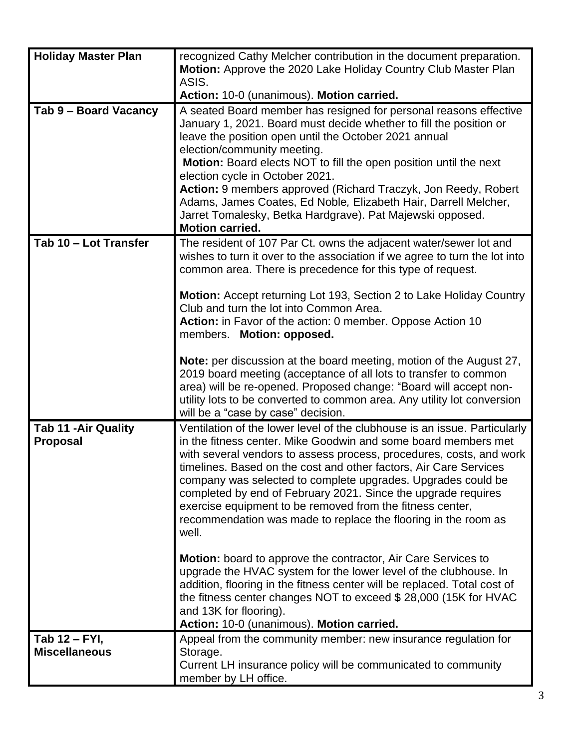| <b>Holiday Master Plan</b>                     | recognized Cathy Melcher contribution in the document preparation.<br>Motion: Approve the 2020 Lake Holiday Country Club Master Plan                                                                                                                                                                                                                                                                                                                                                                                                                                |
|------------------------------------------------|---------------------------------------------------------------------------------------------------------------------------------------------------------------------------------------------------------------------------------------------------------------------------------------------------------------------------------------------------------------------------------------------------------------------------------------------------------------------------------------------------------------------------------------------------------------------|
|                                                | ASIS.                                                                                                                                                                                                                                                                                                                                                                                                                                                                                                                                                               |
|                                                | Action: 10-0 (unanimous). Motion carried.                                                                                                                                                                                                                                                                                                                                                                                                                                                                                                                           |
| Tab 9 - Board Vacancy                          | A seated Board member has resigned for personal reasons effective<br>January 1, 2021. Board must decide whether to fill the position or<br>leave the position open until the October 2021 annual<br>election/community meeting.<br>Motion: Board elects NOT to fill the open position until the next<br>election cycle in October 2021.<br>Action: 9 members approved (Richard Traczyk, Jon Reedy, Robert<br>Adams, James Coates, Ed Noble, Elizabeth Hair, Darrell Melcher,<br>Jarret Tomalesky, Betka Hardgrave). Pat Majewski opposed.<br><b>Motion carried.</b> |
| Tab 10 - Lot Transfer                          | The resident of 107 Par Ct. owns the adjacent water/sewer lot and<br>wishes to turn it over to the association if we agree to turn the lot into<br>common area. There is precedence for this type of request.                                                                                                                                                                                                                                                                                                                                                       |
|                                                | <b>Motion:</b> Accept returning Lot 193, Section 2 to Lake Holiday Country<br>Club and turn the lot into Common Area.<br>Action: in Favor of the action: 0 member. Oppose Action 10<br>members. Motion: opposed.                                                                                                                                                                                                                                                                                                                                                    |
|                                                | <b>Note:</b> per discussion at the board meeting, motion of the August 27,<br>2019 board meeting (acceptance of all lots to transfer to common<br>area) will be re-opened. Proposed change: "Board will accept non-<br>utility lots to be converted to common area. Any utility lot conversion<br>will be a "case by case" decision.                                                                                                                                                                                                                                |
| <b>Tab 11 - Air Quality</b><br><b>Proposal</b> | Ventilation of the lower level of the clubhouse is an issue. Particularly<br>in the fitness center. Mike Goodwin and some board members met<br>with several vendors to assess process, procedures, costs, and work<br>timelines. Based on the cost and other factors, Air Care Services<br>company was selected to complete upgrades. Upgrades could be<br>completed by end of February 2021. Since the upgrade requires<br>exercise equipment to be removed from the fitness center,<br>recommendation was made to replace the flooring in the room as<br>well.    |
|                                                | <b>Motion:</b> board to approve the contractor, Air Care Services to<br>upgrade the HVAC system for the lower level of the clubhouse. In<br>addition, flooring in the fitness center will be replaced. Total cost of<br>the fitness center changes NOT to exceed \$ 28,000 (15K for HVAC<br>and 13K for flooring).<br>Action: 10-0 (unanimous). Motion carried.                                                                                                                                                                                                     |
| Tab 12 - FYI,<br><b>Miscellaneous</b>          | Appeal from the community member: new insurance regulation for<br>Storage.<br>Current LH insurance policy will be communicated to community<br>member by LH office.                                                                                                                                                                                                                                                                                                                                                                                                 |